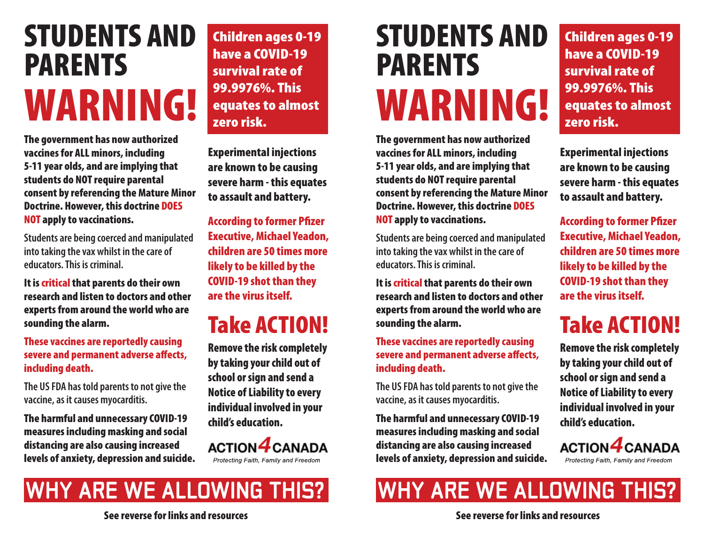# STUDENTS AND PARENTS WARNING!

The government has now authorized vaccines for ALL minors, including 5-11 year olds, and are implying that students do NOT require parental consent by referencing the Mature Minor Doctrine. However, this doctrine DOES NOT apply to vaccinations.

**Students are being coerced and manipulated into taking the vax whilst in the care of educators. This is criminal.**

It is critical that parents do their own research and listen to doctors and other experts from around the world who are sounding the alarm.

These vaccines are reportedly causing severe and permanent adverse affects, including death.

**The US FDA has told parents to not give the vaccine, as it causes myocarditis.**

The harmful and unnecessary COVID-19 measures including masking and social distancing are also causing increased levels of anxiety, depression and suicide.

Children ages 0-19 have a COVID-19 survival rate of 99.9976%. This equates to almost zero risk.

Experimental injections are known to be causing severe harm - this equates to assault and battery.

According to former Pfizer Executive, Michael Yeadon, children are 50 times more likely to be killed by the COVID-19 shot than they are the virus itself.

## Take ACTION!

Remove the risk completely by taking your child out of school or sign and send a Notice of Liability to every individual involved in your child's education.

**ACTION4CANADA** 

## WHY ARE WE ALLOWING THIS? WHY ARE WE ALLOWING THIS?

# STUDENTS AND PARENTS WARNING!

The government has now authorized vaccines for ALL minors, including 5-11 year olds, and are implying that students do NOT require parental consent by referencing the Mature Minor Doctrine. However, this doctrine DOES NOT apply to vaccinations.

**Students are being coerced and manipulated into taking the vax whilst in the care of educators. This is criminal.**

It is critical that parents do their own research and listen to doctors and other experts from around the world who are sounding the alarm.

These vaccines are reportedly causing severe and permanent adverse affects, including death.

**The US FDA has told parents to not give the vaccine, as it causes myocarditis.**

The harmful and unnecessary COVID-19 measures including masking and social distancing are also causing increased levels of anxiety, depression and suicide. *Protecting Faith, Family and Freedom Protecting Faith, Family and Freedom*

Children ages 0-19 have a COVID-19 survival rate of 99.9976%. This equates to almost zero risk.

Experimental injections are known to be causing severe harm - this equates to assault and battery.

According to former Pfizer Executive, Michael Yeadon, children are 50 times more likely to be killed by the COVID-19 shot than they are the virus itself.

## Take ACTION!

Remove the risk completely by taking your child out of school or sign and send a Notice of Liability to every individual involved in your child's education.



See reverse for links and resources See reverse for links and resources